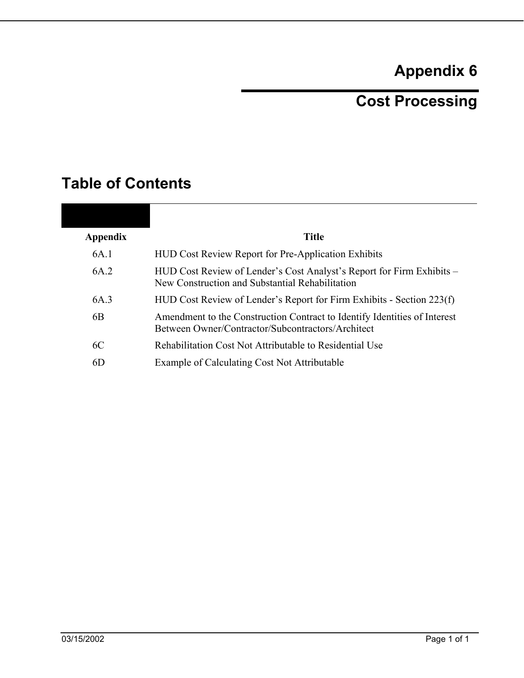# **Appendix 6**

# **Cost Processing**

# **Table of Contents**

| <b>Appendix</b> | <b>Title</b>                                                                                                                   |
|-----------------|--------------------------------------------------------------------------------------------------------------------------------|
| 6A.1            | <b>HUD Cost Review Report for Pre-Application Exhibits</b>                                                                     |
| 6A.2            | HUD Cost Review of Lender's Cost Analyst's Report for Firm Exhibits –<br>New Construction and Substantial Rehabilitation       |
| 6A.3            | HUD Cost Review of Lender's Report for Firm Exhibits - Section 223(f)                                                          |
| 6B              | Amendment to the Construction Contract to Identify Identities of Interest<br>Between Owner/Contractor/Subcontractors/Architect |
| 6C              | Rehabilitation Cost Not Attributable to Residential Use                                                                        |
| 6D              | Example of Calculating Cost Not Attributable                                                                                   |
|                 |                                                                                                                                |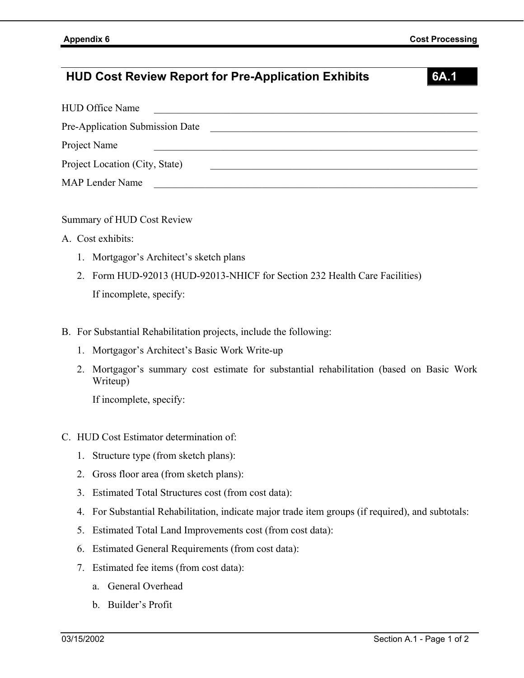## **HUD Cost Review Report for Pre-Application Exhibits 6A.1**

| <b>HUD Office Name</b>          |  |
|---------------------------------|--|
| Pre-Application Submission Date |  |
| Project Name                    |  |
| Project Location (City, State)  |  |
| <b>MAP Lender Name</b>          |  |

Summary of HUD Cost Review

- A. Cost exhibits:
	- 1. Mortgagor's Architect's sketch plans
	- 2. Form HUD-92013 (HUD-92013-NHICF for Section 232 Health Care Facilities) If incomplete, specify:
- B. For Substantial Rehabilitation projects, include the following:
	- 1. Mortgagor's Architect's Basic Work Write-up
	- 2. Mortgagor's summary cost estimate for substantial rehabilitation (based on Basic Work Writeup)

If incomplete, specify:

- C. HUD Cost Estimator determination of:
	- 1. Structure type (from sketch plans):
	- 2. Gross floor area (from sketch plans):
	- 3. Estimated Total Structures cost (from cost data):
	- 4. For Substantial Rehabilitation, indicate major trade item groups (if required), and subtotals:
	- 5. Estimated Total Land Improvements cost (from cost data):
	- 6. Estimated General Requirements (from cost data):
	- 7. Estimated fee items (from cost data):
		- a. General Overhead
		- b. Builder's Profit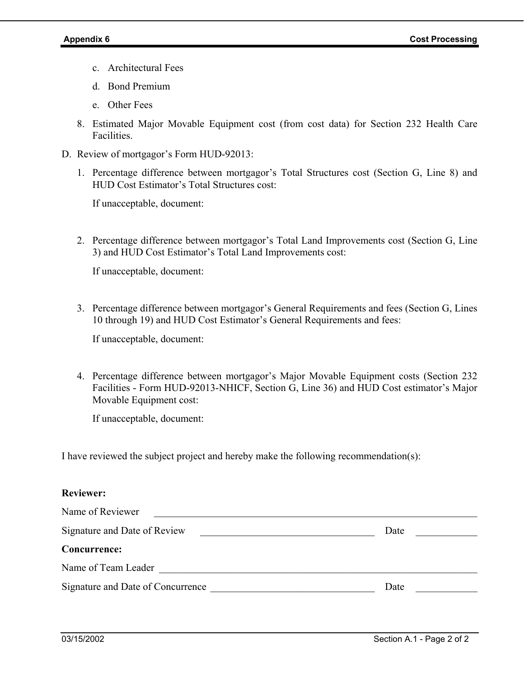- c. Architectural Fees
- d. Bond Premium
- e. Other Fees
- 8. Estimated Major Movable Equipment cost (from cost data) for Section 232 Health Care Facilities.
- D. Review of mortgagor's Form HUD-92013:
	- 1. Percentage difference between mortgagor's Total Structures cost (Section G, Line 8) and HUD Cost Estimator's Total Structures cost:

If unacceptable, document:

2. Percentage difference between mortgagor's Total Land Improvements cost (Section G, Line 3) and HUD Cost Estimator's Total Land Improvements cost:

If unacceptable, document:

3. Percentage difference between mortgagor's General Requirements and fees (Section G, Lines 10 through 19) and HUD Cost Estimator's General Requirements and fees:

If unacceptable, document:

4. Percentage difference between mortgagor's Major Movable Equipment costs (Section 232 Facilities - Form HUD-92013-NHICF, Section G, Line 36) and HUD Cost estimator's Major Movable Equipment cost:

If unacceptable, document:

I have reviewed the subject project and hereby make the following recommendation(s):

#### **Reviewer:**

| Name of Reviewer                  |      |
|-----------------------------------|------|
| Signature and Date of Review      | Date |
| Concurrence:                      |      |
| Name of Team Leader               |      |
| Signature and Date of Concurrence | Date |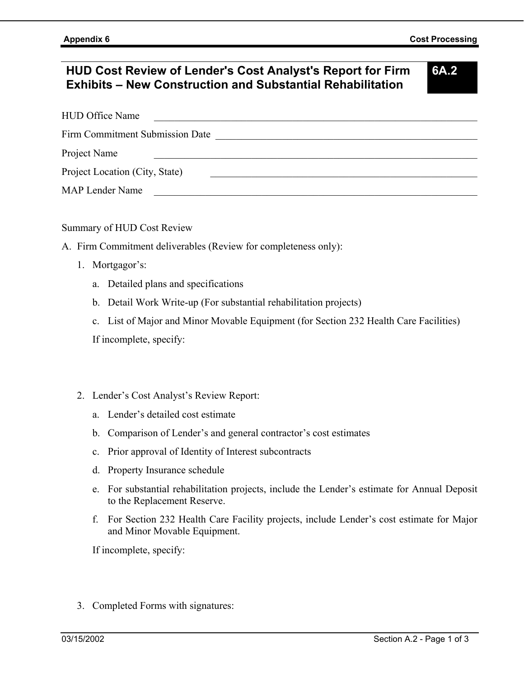## **HUD Cost Review of Lender's Cost Analyst's Report for Firm Exhibits – New Construction and Substantial Rehabilitation**

**6A.2** 

| <b>HUD Office Name</b>          |  |
|---------------------------------|--|
| Firm Commitment Submission Date |  |
| Project Name                    |  |
| Project Location (City, State)  |  |
| <b>MAP Lender Name</b>          |  |

Summary of HUD Cost Review

- A. Firm Commitment deliverables (Review for completeness only):
	- 1. Mortgagor's:
		- a. Detailed plans and specifications
		- b. Detail Work Write-up (For substantial rehabilitation projects)
		- c. List of Major and Minor Movable Equipment (for Section 232 Health Care Facilities)

If incomplete, specify:

- 2. Lender's Cost Analyst's Review Report:
	- a. Lender's detailed cost estimate
	- b. Comparison of Lender's and general contractor's cost estimates
	- c. Prior approval of Identity of Interest subcontracts
	- d. Property Insurance schedule
	- e. For substantial rehabilitation projects, include the Lender's estimate for Annual Deposit to the Replacement Reserve.
	- f. For Section 232 Health Care Facility projects, include Lender's cost estimate for Major and Minor Movable Equipment.

If incomplete, specify:

3. Completed Forms with signatures: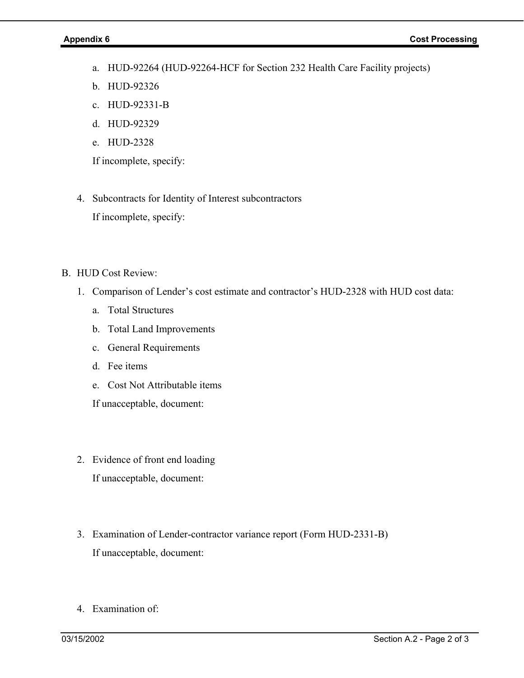- a. HUD-92264 (HUD-92264-HCF for Section 232 Health Care Facility projects)
- b. HUD-92326
- c. HUD-92331-B
- d. HUD-92329
- e. HUD-2328

If incomplete, specify:

4. Subcontracts for Identity of Interest subcontractors

If incomplete, specify:

- B. HUD Cost Review:
	- 1. Comparison of Lender's cost estimate and contractor's HUD-2328 with HUD cost data:
		- a. Total Structures
		- b. Total Land Improvements
		- c. General Requirements
		- d. Fee items
		- e. Cost Not Attributable items

If unacceptable, document:

- 2. Evidence of front end loading If unacceptable, document:
- 3. Examination of Lender-contractor variance report (Form HUD-2331-B) If unacceptable, document:
- 4. Examination of: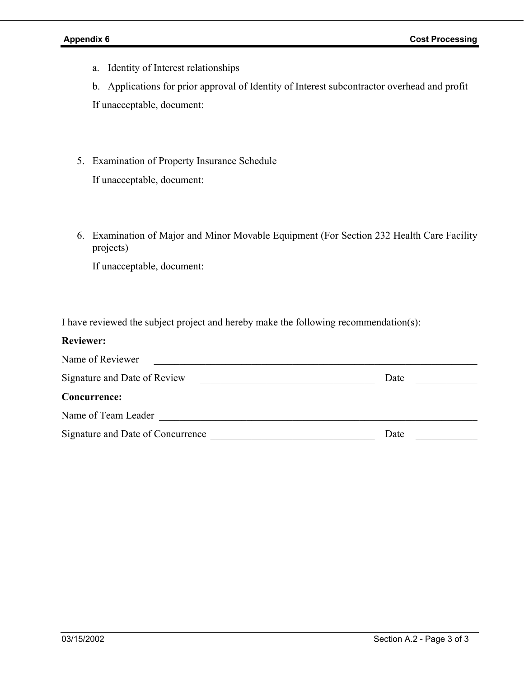a. Identity of Interest relationships

b. Applications for prior approval of Identity of Interest subcontractor overhead and profit If unacceptable, document:

5. Examination of Property Insurance Schedule

If unacceptable, document:

6. Examination of Major and Minor Movable Equipment (For Section 232 Health Care Facility projects)

If unacceptable, document:

I have reviewed the subject project and hereby make the following recommendation(s):

#### **Reviewer:**

| Name of Reviewer                  |      |
|-----------------------------------|------|
| Signature and Date of Review      | Date |
| Concurrence:                      |      |
| Name of Team Leader               |      |
| Signature and Date of Concurrence | Date |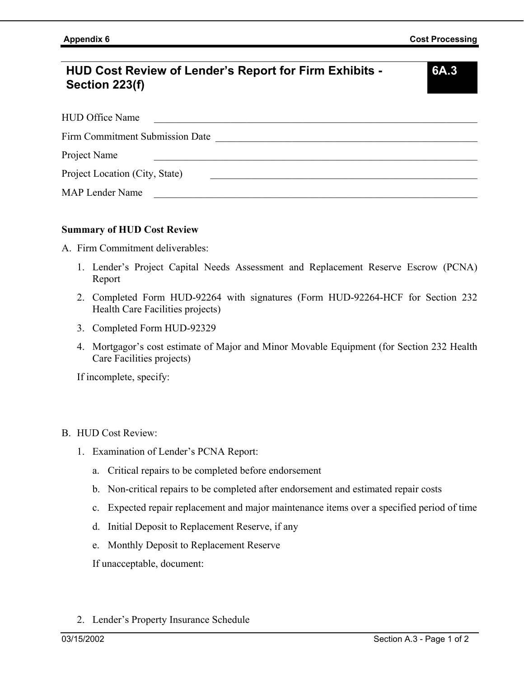# **HUD Cost Review of Lender's Report for Firm Exhibits - Section 223(f)**

**6A.3** 

| <b>HUD Office Name</b>                 |
|----------------------------------------|
| <b>Firm Commitment Submission Date</b> |
| Project Name                           |
| Project Location (City, State)         |
| <b>MAP Lender Name</b>                 |

#### **Summary of HUD Cost Review**

A. Firm Commitment deliverables:

- 1. Lender's Project Capital Needs Assessment and Replacement Reserve Escrow (PCNA) Report
- 2. Completed Form HUD-92264 with signatures (Form HUD-92264-HCF for Section 232 Health Care Facilities projects)
- 3. Completed Form HUD-92329
- 4. Mortgagor's cost estimate of Major and Minor Movable Equipment (for Section 232 Health Care Facilities projects)

If incomplete, specify:

- B. HUD Cost Review:
	- 1. Examination of Lender's PCNA Report:
		- a. Critical repairs to be completed before endorsement
		- b. Non-critical repairs to be completed after endorsement and estimated repair costs
		- c. Expected repair replacement and major maintenance items over a specified period of time
		- d. Initial Deposit to Replacement Reserve, if any
		- e. Monthly Deposit to Replacement Reserve

If unacceptable, document:

2. Lender's Property Insurance Schedule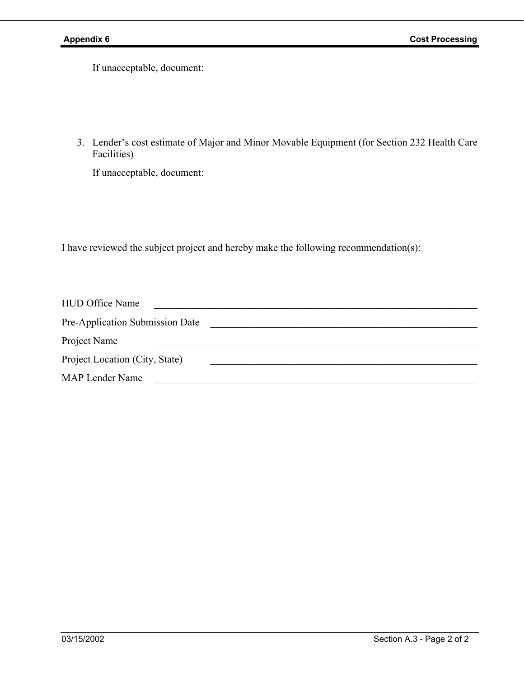If unacceptable, document:

3. Lender's cost estimate of Major and Minor Movable Equipment (for Section 232 Health Care Facilities)

If unacceptable, document:

I have reviewed the subject project and hereby make the following recommendation(s):

| <b>HUD Office Name</b>          |  |
|---------------------------------|--|
| Pre-Application Submission Date |  |
| Project Name                    |  |
| Project Location (City, State)  |  |
| <b>MAP Lender Name</b>          |  |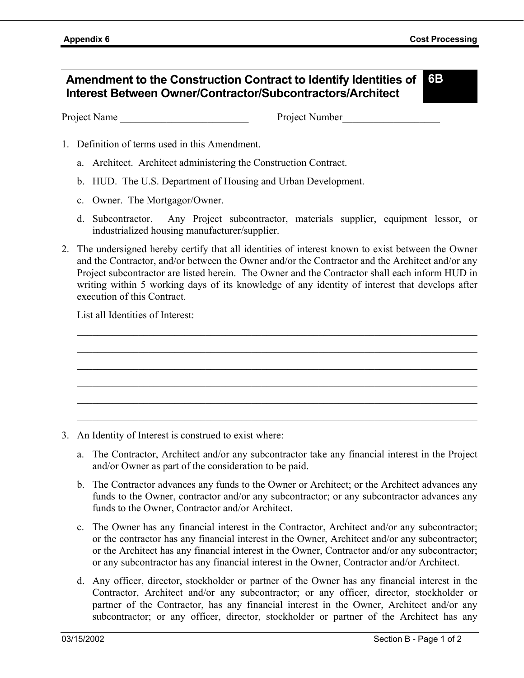#### **Amendment to the Construction Contract to Identify Identities of Interest Between Owner/Contractor/Subcontractors/Architect 6B**

Project Name Project Number

- 1. Definition of terms used in this Amendment.
	- a. Architect. Architect administering the Construction Contract.
	- b. HUD. The U.S. Department of Housing and Urban Development.
	- c. Owner. The Mortgagor/Owner.
	- d. Subcontractor. Any Project subcontractor, materials supplier, equipment lessor, or industrialized housing manufacturer/supplier.
- 2. The undersigned hereby certify that all identities of interest known to exist between the Owner and the Contractor, and/or between the Owner and/or the Contractor and the Architect and/or any Project subcontractor are listed herein. The Owner and the Contractor shall each inform HUD in writing within 5 working days of its knowledge of any identity of interest that develops after execution of this Contract.

 $\mathcal{L}_\mathcal{L} = \{ \mathcal{L}_\mathcal{L} = \{ \mathcal{L}_\mathcal{L} = \{ \mathcal{L}_\mathcal{L} = \{ \mathcal{L}_\mathcal{L} = \{ \mathcal{L}_\mathcal{L} = \{ \mathcal{L}_\mathcal{L} = \{ \mathcal{L}_\mathcal{L} = \{ \mathcal{L}_\mathcal{L} = \{ \mathcal{L}_\mathcal{L} = \{ \mathcal{L}_\mathcal{L} = \{ \mathcal{L}_\mathcal{L} = \{ \mathcal{L}_\mathcal{L} = \{ \mathcal{L}_\mathcal{L} = \{ \mathcal{L}_\mathcal{$  $\mathcal{L}_\mathcal{L} = \mathcal{L}_\mathcal{L} = \mathcal{L}_\mathcal{L} = \mathcal{L}_\mathcal{L} = \mathcal{L}_\mathcal{L} = \mathcal{L}_\mathcal{L} = \mathcal{L}_\mathcal{L} = \mathcal{L}_\mathcal{L} = \mathcal{L}_\mathcal{L} = \mathcal{L}_\mathcal{L} = \mathcal{L}_\mathcal{L} = \mathcal{L}_\mathcal{L} = \mathcal{L}_\mathcal{L} = \mathcal{L}_\mathcal{L} = \mathcal{L}_\mathcal{L} = \mathcal{L}_\mathcal{L} = \mathcal{L}_\mathcal{L}$  $\mathcal{L}_\mathcal{L} = \mathcal{L}_\mathcal{L} = \mathcal{L}_\mathcal{L} = \mathcal{L}_\mathcal{L} = \mathcal{L}_\mathcal{L} = \mathcal{L}_\mathcal{L} = \mathcal{L}_\mathcal{L} = \mathcal{L}_\mathcal{L} = \mathcal{L}_\mathcal{L} = \mathcal{L}_\mathcal{L} = \mathcal{L}_\mathcal{L} = \mathcal{L}_\mathcal{L} = \mathcal{L}_\mathcal{L} = \mathcal{L}_\mathcal{L} = \mathcal{L}_\mathcal{L} = \mathcal{L}_\mathcal{L} = \mathcal{L}_\mathcal{L}$  $\mathcal{L}_\mathcal{L} = \mathcal{L}_\mathcal{L} = \mathcal{L}_\mathcal{L} = \mathcal{L}_\mathcal{L} = \mathcal{L}_\mathcal{L} = \mathcal{L}_\mathcal{L} = \mathcal{L}_\mathcal{L} = \mathcal{L}_\mathcal{L} = \mathcal{L}_\mathcal{L} = \mathcal{L}_\mathcal{L} = \mathcal{L}_\mathcal{L} = \mathcal{L}_\mathcal{L} = \mathcal{L}_\mathcal{L} = \mathcal{L}_\mathcal{L} = \mathcal{L}_\mathcal{L} = \mathcal{L}_\mathcal{L} = \mathcal{L}_\mathcal{L}$  $\mathcal{L}_\mathcal{L} = \{ \mathcal{L}_\mathcal{L} = \{ \mathcal{L}_\mathcal{L} = \{ \mathcal{L}_\mathcal{L} = \{ \mathcal{L}_\mathcal{L} = \{ \mathcal{L}_\mathcal{L} = \{ \mathcal{L}_\mathcal{L} = \{ \mathcal{L}_\mathcal{L} = \{ \mathcal{L}_\mathcal{L} = \{ \mathcal{L}_\mathcal{L} = \{ \mathcal{L}_\mathcal{L} = \{ \mathcal{L}_\mathcal{L} = \{ \mathcal{L}_\mathcal{L} = \{ \mathcal{L}_\mathcal{L} = \{ \mathcal{L}_\mathcal{$  $\mathcal{L}_\mathcal{L} = \{ \mathcal{L}_\mathcal{L} = \{ \mathcal{L}_\mathcal{L} = \{ \mathcal{L}_\mathcal{L} = \{ \mathcal{L}_\mathcal{L} = \{ \mathcal{L}_\mathcal{L} = \{ \mathcal{L}_\mathcal{L} = \{ \mathcal{L}_\mathcal{L} = \{ \mathcal{L}_\mathcal{L} = \{ \mathcal{L}_\mathcal{L} = \{ \mathcal{L}_\mathcal{L} = \{ \mathcal{L}_\mathcal{L} = \{ \mathcal{L}_\mathcal{L} = \{ \mathcal{L}_\mathcal{L} = \{ \mathcal{L}_\mathcal{$ 

List all Identities of Interest:

- 3. An Identity of Interest is construed to exist where:
	- a. The Contractor, Architect and/or any subcontractor take any financial interest in the Project and/or Owner as part of the consideration to be paid.
	- b. The Contractor advances any funds to the Owner or Architect; or the Architect advances any funds to the Owner, contractor and/or any subcontractor; or any subcontractor advances any funds to the Owner, Contractor and/or Architect.
	- c. The Owner has any financial interest in the Contractor, Architect and/or any subcontractor; or the contractor has any financial interest in the Owner, Architect and/or any subcontractor; or the Architect has any financial interest in the Owner, Contractor and/or any subcontractor; or any subcontractor has any financial interest in the Owner, Contractor and/or Architect.
	- d. Any officer, director, stockholder or partner of the Owner has any financial interest in the Contractor, Architect and/or any subcontractor; or any officer, director, stockholder or partner of the Contractor, has any financial interest in the Owner, Architect and/or any subcontractor; or any officer, director, stockholder or partner of the Architect has any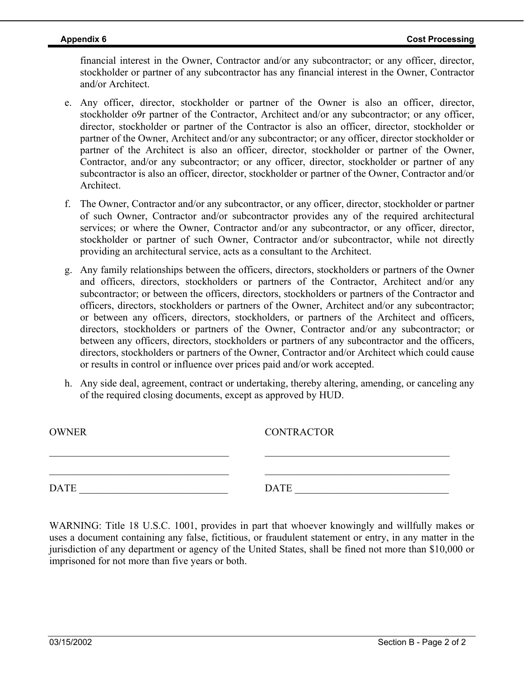financial interest in the Owner, Contractor and/or any subcontractor; or any officer, director, stockholder or partner of any subcontractor has any financial interest in the Owner, Contractor and/or Architect.

- e. Any officer, director, stockholder or partner of the Owner is also an officer, director, stockholder o9r partner of the Contractor, Architect and/or any subcontractor; or any officer, director, stockholder or partner of the Contractor is also an officer, director, stockholder or partner of the Owner, Architect and/or any subcontractor; or any officer, director stockholder or partner of the Architect is also an officer, director, stockholder or partner of the Owner, Contractor, and/or any subcontractor; or any officer, director, stockholder or partner of any subcontractor is also an officer, director, stockholder or partner of the Owner, Contractor and/or **Architect**
- f. The Owner, Contractor and/or any subcontractor, or any officer, director, stockholder or partner of such Owner, Contractor and/or subcontractor provides any of the required architectural services; or where the Owner, Contractor and/or any subcontractor, or any officer, director, stockholder or partner of such Owner, Contractor and/or subcontractor, while not directly providing an architectural service, acts as a consultant to the Architect.
- g. Any family relationships between the officers, directors, stockholders or partners of the Owner and officers, directors, stockholders or partners of the Contractor, Architect and/or any subcontractor; or between the officers, directors, stockholders or partners of the Contractor and officers, directors, stockholders or partners of the Owner, Architect and/or any subcontractor; or between any officers, directors, stockholders, or partners of the Architect and officers, directors, stockholders or partners of the Owner, Contractor and/or any subcontractor; or between any officers, directors, stockholders or partners of any subcontractor and the officers, directors, stockholders or partners of the Owner, Contractor and/or Architect which could cause or results in control or influence over prices paid and/or work accepted.
- h. Any side deal, agreement, contract or undertaking, thereby altering, amending, or canceling any of the required closing documents, except as approved by HUD.

| <b>OWNER</b> | <b>CONTRACTOR</b> |
|--------------|-------------------|
|              |                   |
| DATE         | <b>DATE</b>       |

WARNING: Title 18 U.S.C. 1001, provides in part that whoever knowingly and willfully makes or uses a document containing any false, fictitious, or fraudulent statement or entry, in any matter in the jurisdiction of any department or agency of the United States, shall be fined not more than \$10,000 or imprisoned for not more than five years or both.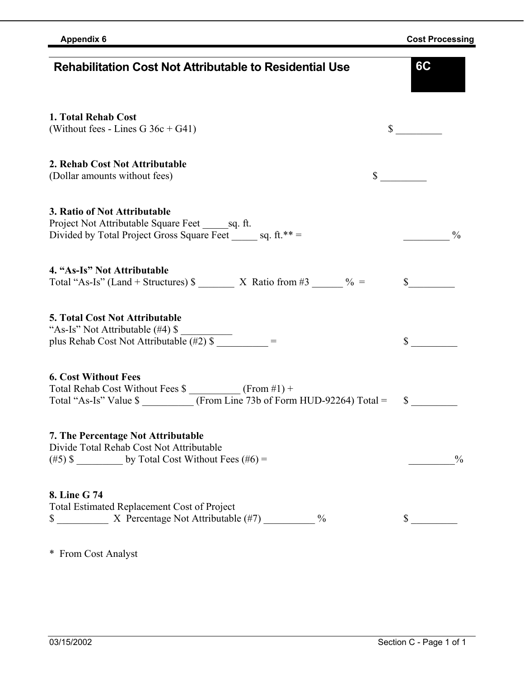\* From Cost Analyst

| 1. Total Rehab Cost<br>(Without fees - Lines G $36c + G41$ )                                                                                                                                                                             | $\mathbb{S}$<br>and a string |               |
|------------------------------------------------------------------------------------------------------------------------------------------------------------------------------------------------------------------------------------------|------------------------------|---------------|
| 2. Rehab Cost Not Attributable<br>(Dollar amounts without fees)                                                                                                                                                                          | $\mathbb{S}$                 |               |
| 3. Ratio of Not Attributable<br>Project Not Attributable Square Feet sq. ft.<br>Divided by Total Project Gross Square Feet ______ sq. ft.**=                                                                                             |                              | $\frac{0}{0}$ |
| 4. "As-Is" Not Attributable<br>Total "As-Is" (Land + Structures) $\frac{1}{2}$ X Ratio from #3 _____ % =                                                                                                                                 | \$                           |               |
| <b>5. Total Cost Not Attributable</b><br>"As-Is" Not Attributable (#4) \$<br>"As-Is" Not Attributable (#4) $\frac{1}{2}$<br>plus Rehab Cost Not Attributable (#2) $\frac{1}{2}$ =                                                        | $\mathbb{S}$                 |               |
| <b>6. Cost Without Fees</b><br>Total Rehab Cost Without Fees $\frac{\sqrt{3}}{2}$ (From $\frac{\pm 1}{\sqrt{3}}$ + Total "As-Is" Value $\frac{\pm 1}{\sqrt{3}}$ Value $\frac{\pm 1}{\sqrt{3}}$ (From Line 73b of Form HUD-92264) Total = | $\mathbb{S}$                 |               |
| 7. The Percentage Not Attributable<br>Divide Total Rehab Cost Not Attributable                                                                                                                                                           |                              | $\frac{0}{0}$ |
| 8. Line G 74<br>Total Estimated Replacement Cost of Project<br>$\frac{0}{0}$                                                                                                                                                             | \$                           |               |

**Rehabilitation Cost Not Attributable to Residential Use 6C**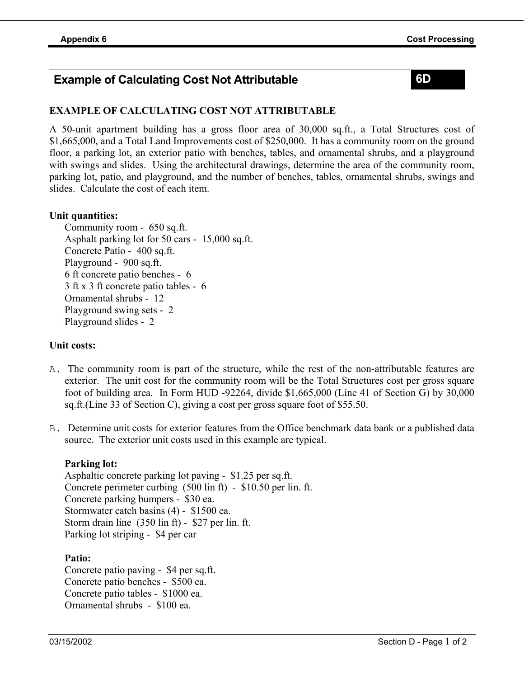### **Example of Calculating Cost Not Attributable 6D**

### **EXAMPLE OF CALCULATING COST NOT ATTRIBUTABLE**

A 50-unit apartment building has a gross floor area of 30,000 sq.ft., a Total Structures cost of \$1,665,000, and a Total Land Improvements cost of \$250,000. It has a community room on the ground floor, a parking lot, an exterior patio with benches, tables, and ornamental shrubs, and a playground with swings and slides. Using the architectural drawings, determine the area of the community room, parking lot, patio, and playground, and the number of benches, tables, ornamental shrubs, swings and slides. Calculate the cost of each item.

#### **Unit quantities:**

Community room - 650 sq.ft. Asphalt parking lot for 50 cars - 15,000 sq.ft. Concrete Patio - 400 sq.ft. Playground - 900 sq.ft. 6 ft concrete patio benches - 6 3 ft x 3 ft concrete patio tables - 6 Ornamental shrubs - 12 Playground swing sets - 2 Playground slides - 2

#### **Unit costs:**

- A. The community room is part of the structure, while the rest of the non-attributable features are exterior. The unit cost for the community room will be the Total Structures cost per gross square foot of building area. In Form HUD -92264, divide \$1,665,000 (Line 41 of Section G) by 30,000 sq.ft.(Line 33 of Section C), giving a cost per gross square foot of \$55.50.
- B. Determine unit costs for exterior features from the Office benchmark data bank or a published data source. The exterior unit costs used in this example are typical.

#### **Parking lot:**

Asphaltic concrete parking lot paving - \$1.25 per sq.ft. Concrete perimeter curbing (500 lin ft) - \$10.50 per lin. ft. Concrete parking bumpers - \$30 ea. Stormwater catch basins (4) - \$1500 ea. Storm drain line (350 lin ft) - \$27 per lin. ft. Parking lot striping - \$4 per car

#### **Patio:**

Concrete patio paving - \$4 per sq.ft. Concrete patio benches - \$500 ea. Concrete patio tables - \$1000 ea. Ornamental shrubs - \$100 ea.